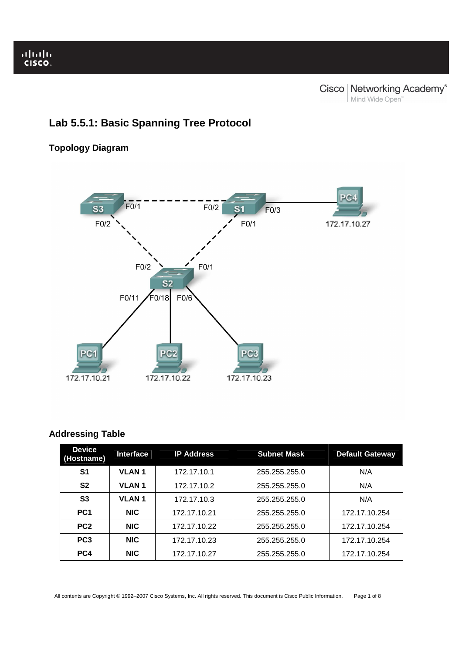# **Lab 5.5.1: Basic Spanning Tree Protocol**

## **Topology Diagram**



## **Addressing Table**

| <b>Device</b><br>(Hostname) | <b>Interface</b> | <b>IP Address</b> | <b>Subnet Mask</b> | <b>Default Gateway</b> |
|-----------------------------|------------------|-------------------|--------------------|------------------------|
| S <sub>1</sub>              | <b>VLAN1</b>     | 172.17.10.1       | 255.255.255.0      | N/A                    |
| S <sub>2</sub>              | <b>VLAN1</b>     | 172.17.10.2       | 255.255.255.0      | N/A                    |
| S <sub>3</sub>              | <b>VLAN1</b>     | 172.17.10.3       | 255.255.255.0      | N/A                    |
| PC <sub>1</sub>             | <b>NIC</b>       | 172.17.10.21      | 255.255.255.0      | 172.17.10.254          |
| PC <sub>2</sub>             | <b>NIC</b>       | 172.17.10.22      | 255.255.255.0      | 172.17.10.254          |
| PC <sub>3</sub>             | <b>NIC</b>       | 172.17.10.23      | 255.255.255.0      | 172.17.10.254          |
| PC4                         | <b>NIC</b>       | 172.17.10.27      | 255.255.255.0      | 172.17.10.254          |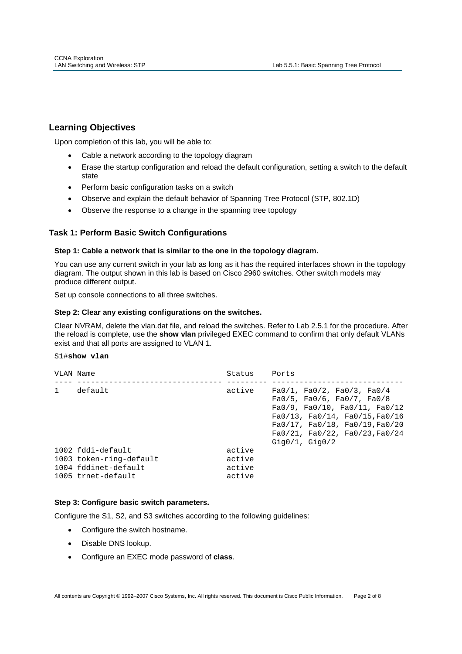## **Learning Objectives**

Ī

Upon completion of this lab, you will be able to:

- Cable a network according to the topology diagram
- Erase the startup configuration and reload the default configuration, setting a switch to the default state
- Perform basic configuration tasks on a switch
- Observe and explain the default behavior of Spanning Tree Protocol (STP, 802.1D)
- Observe the response to a change in the spanning tree topology

## **Task 1: Perform Basic Switch Configurations**

## **Step 1: Cable a network that is similar to the one in the topology diagram.**

You can use any current switch in your lab as long as it has the required interfaces shown in the topology diagram. The output shown in this lab is based on Cisco 2960 switches. Other switch models may produce different output.

Set up console connections to all three switches.

## **Step 2: Clear any existing configurations on the switches.**

Clear NVRAM, delete the vlan.dat file, and reload the switches. Refer to Lab 2.5.1 for the procedure. After the reload is complete, use the **show vlan** privileged EXEC command to confirm that only default VLANs exist and that all ports are assigned to VLAN 1.

## S1#**show vlan**

| VLAN Name    |                                                                                            | Status                               | Ports                                                                                                                                                                                                                                                         |
|--------------|--------------------------------------------------------------------------------------------|--------------------------------------|---------------------------------------------------------------------------------------------------------------------------------------------------------------------------------------------------------------------------------------------------------------|
| $\mathbf{1}$ | default                                                                                    | active                               | Fa0/1, Fa0/2, Fa0/3, Fa0/4<br>Fa0/5, Fa0/6, Fa0/7, Fa0/8<br>$Fa0/9$ , $Fa0/10$ , $Fa0/11$ , $Fa0/12$<br>$Fa0/13$ , $Fa0/14$ , $Fa0/15$ , $Fa0/16$<br>$Fa0/17$ , $Fa0/18$ , $Fa0/19$ , $Fa0/20$<br>$Fa0/21$ , $Fa0/22$ , $Fa0/23$ , $Fa0/24$<br>Giq0/1, Giq0/2 |
|              | 1002 fddi-default<br>1003 token-ring-default<br>1004 fddinet-default<br>1005 trnet-default | active<br>active<br>active<br>active |                                                                                                                                                                                                                                                               |

## **Step 3: Configure basic switch parameters.**

Configure the S1, S2, and S3 switches according to the following guidelines:

- Configure the switch hostname.
- Disable DNS lookup.
- Configure an EXEC mode password of **class**.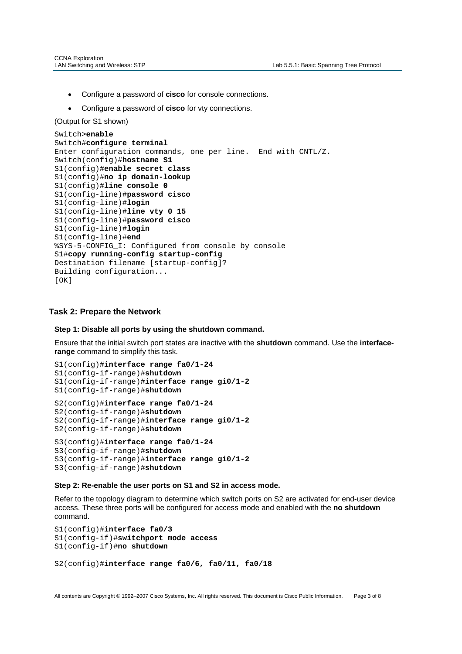- Configure a password of **cisco** for console connections.
- Configure a password of **cisco** for vty connections.

(Output for S1 shown)

Ī

```
Switch>enable
Switch#configure terminal
Enter configuration commands, one per line. End with CNTL/Z. 
Switch(config)#hostname S1
S1(config)#enable secret class
S1(config)#no ip domain-lookup 
S1(config)#line console 0
S1(config-line)#password cisco
S1(config-line)#login
S1(config-line)#line vty 0 15
S1(config-line)#password cisco
S1(config-line)#login 
S1(config-line)#end
%SYS-5-CONFIG_I: Configured from console by console
S1#copy running-config startup-config 
Destination filename [startup-config]? 
Building configuration... 
[OK]
```
### **Task 2: Prepare the Network**

#### **Step 1: Disable all ports by using the shutdown command.**

Ensure that the initial switch port states are inactive with the **shutdown** command. Use the **interfacerange** command to simplify this task.

```
S1(config)#interface range fa0/1-24
S1(config-if-range)#shutdown
S1(config-if-range)#interface range gi0/1-2
S1(config-if-range)#shutdown 
S2(config)#interface range fa0/1-24
S2(config-if-range)#shutdown
S2(config-if-range)#interface range gi0/1-2
S2(config-if-range)#shutdown
S3(config)#interface range fa0/1-24
S3(config-if-range)#shutdown 
S3(config-if-range)#interface range gi0/1-2 
S3(config-if-range)#shutdown
```
#### **Step 2: Re-enable the user ports on S1 and S2 in access mode.**

Refer to the topology diagram to determine which switch ports on S2 are activated for end-user device access. These three ports will be configured for access mode and enabled with the **no shutdown**  command.

```
S1(config)#interface fa0/3 
S1(config-if)#switchport mode access
S1(config-if)#no shutdown
S2(config)#interface range fa0/6, fa0/11, fa0/18
```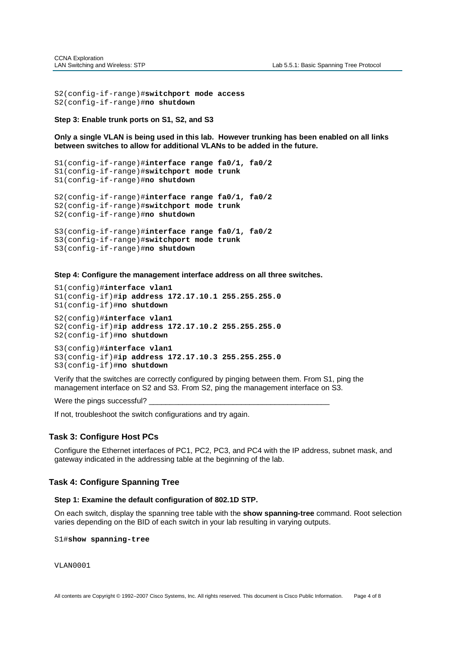```
S2(config-if-range)#switchport mode access 
S2(config-if-range)#no shutdown
```
**Step 3: Enable trunk ports on S1, S2, and S3** 

**Only a single VLAN is being used in this lab. However trunking has been enabled on all links between switches to allow for additional VLANs to be added in the future.** 

```
S1(config-if-range)#interface range fa0/1, fa0/2 
S1(config-if-range)#switchport mode trunk 
S1(config-if-range)#no shutdown
S2(config-if-range)#interface range fa0/1, fa0/2 
S2(config-if-range)#switchport mode trunk 
S2(config-if-range)#no shutdown
S3(config-if-range)#interface range fa0/1, fa0/2 
S3(config-if-range)#switchport mode trunk 
S3(config-if-range)#no shutdown
```
**Step 4: Configure the management interface address on all three switches.** 

```
S1(config)#interface vlan1
S1(config-if)#ip address 172.17.10.1 255.255.255.0
S1(config-if)#no shutdown
S2(config)#interface vlan1
S2(config-if)#ip address 172.17.10.2 255.255.255.0
S2(config-if)#no shutdown
S3(config)#interface vlan1
S3(config-if)#ip address 172.17.10.3 255.255.255.0
S3(config-if)#no shutdown
```
Verify that the switches are correctly configured by pinging between them. From S1, ping the management interface on S2 and S3. From S2, ping the management interface on S3.

Were the pings successful?

If not, troubleshoot the switch configurations and try again.

## **Task 3: Configure Host PCs**

Configure the Ethernet interfaces of PC1, PC2, PC3, and PC4 with the IP address, subnet mask, and gateway indicated in the addressing table at the beginning of the lab.

#### **Task 4: Configure Spanning Tree**

#### **Step 1: Examine the default configuration of 802.1D STP.**

On each switch, display the spanning tree table with the **show spanning-tree** command. Root selection varies depending on the BID of each switch in your lab resulting in varying outputs.

S1#**show spanning-tree**

VLAN0001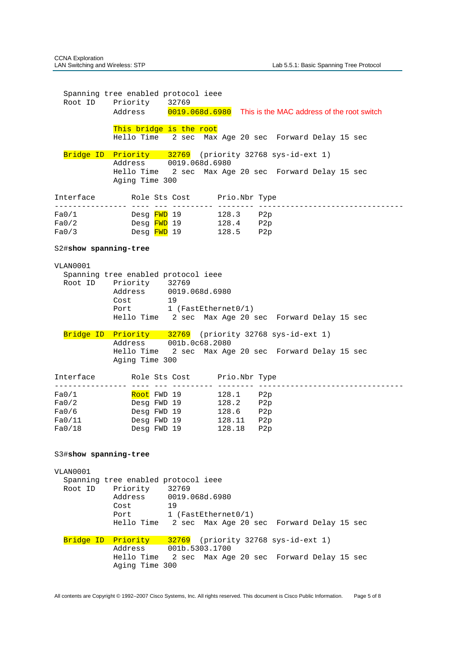Spanning tree enabled protocol ieee Root ID Priority 32769 Address 0019.068d.6980 This is the MAC address of the root switch This bridge is the root Hello Time 2 sec Max Age 20 sec Forward Delay 15 sec Bridge ID Priority 32769 (priority 32768 sys-id-ext 1) Address 0019.068d.6980 Hello Time 2 sec Max Age 20 sec Forward Delay 15 sec Aging Time 300 Interface Role Sts Cost Prio.Nbr Type ---------------- ---- --- --------- -------- -------------------------------- Fa0/1 Desg FWD 19 128.3 P2p Fa0/2 Desg FWD 19 128.4 P2p Fa0/3 Desg FWD 19 128.5 P2p S2#**show spanning-tree** VLAN0001 Spanning tree enabled protocol ieee Root ID Priority 32769<br>Address 0019. 0019.068d.6980 Cost 19 Port 1 (FastEthernet0/1) Hello Time 2 sec Max Age 20 sec Forward Delay 15 sec Bridge ID Priority 32769 (priority 32768 sys-id-ext 1) Address 001b.0c68.2080 Hello Time 2 sec Max Age 20 sec Forward Delay 15 sec Aging Time 300 Interface Role Sts Cost Prio.Nbr Type ---------------- ---- --- --------- -------- -------------------------------- Fa0/1 Root FWD 19 128.1 P2p Fa0/2 Desg FWD 19 128.2 P2p Fa0/6 Desg FWD 19 128.6 P2p Fa0/11 Desg FWD 19 128.11 P2p Fa0/18 Desg FWD 19 128.18 P2p S3#**show spanning-tree** VLAN0001 Spanning tree enabled protocol ieee Root ID Priority 32769 0019.068d.6980 Prioric,<br>Address 00:<br>Cost 19<br>1 1 (FastEthernet0/1) Hello Time 2 sec Max Age 20 sec Forward Delay 15 sec Bridge ID Priority 32769 (priority 32768 sys-id-ext 1) Address 001b.5303.1700 Hello Time 2 sec Max Age 20 sec Forward Delay 15 sec Aging Time 300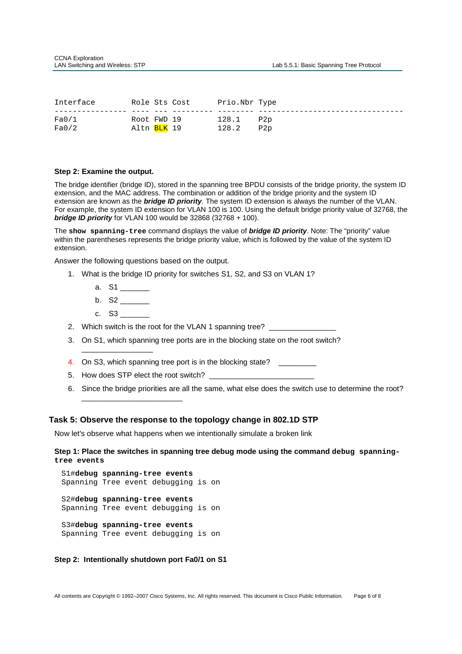| Interface |                          | Role Sts Cost | Prio.Nbr Type |     |
|-----------|--------------------------|---------------|---------------|-----|
|           |                          |               |               |     |
| Fa0/1     | Root FWD 19              |               | 128.1         | P2p |
| Fa0/2     | Altn <mark>BLK</mark> 19 |               | 128.2         | P2p |

#### **Step 2: Examine the output.**

The bridge identifier (bridge ID), stored in the spanning tree BPDU consists of the bridge priority, the system ID extension, and the MAC address. The combination or addition of the bridge priority and the system ID extension are known as the **bridge ID priority**. The system ID extension is always the number of the VLAN. For example, the system ID extension for VLAN 100 is 100. Using the default bridge priority value of 32768, the **bridge ID priority** for VLAN 100 would be 32868 (32768 + 100).

The **show spanning-tree** command displays the value of **bridge ID priority**. Note: The "priority" value within the parentheses represents the bridge priority value, which is followed by the value of the system ID extension.

Answer the following questions based on the output.

- 1. What is the bridge ID priority for switches S1, S2, and S3 on VLAN 1?
	- a.  $S1$   $-$
	- b. S2 \_\_\_\_\_\_\_
	- c. S3 \_\_\_\_\_\_\_

\_\_\_\_\_\_\_\_\_\_\_\_\_\_\_\_\_

- 2. Which switch is the root for the VLAN 1 spanning tree?
- 3. On S1, which spanning tree ports are in the blocking state on the root switch?
- 4. On S3, which spanning tree port is in the blocking state?
- 5. How does STP elect the root switch? \_
- 6. Since the bridge priorities are all the same, what else does the switch use to determine the root? \_\_\_\_\_\_\_\_\_\_\_\_\_\_\_\_\_\_\_\_\_\_\_\_

#### **Task 5: Observe the response to the topology change in 802.1D STP**

Now let's observe what happens when we intentionally simulate a broken link

### **Step 1: Place the switches in spanning tree debug mode using the command debug spanningtree events**

```
S1#debug spanning-tree events
Spanning Tree event debugging is on 
S2#debug spanning-tree events
Spanning Tree event debugging is on 
S3#debug spanning-tree events
Spanning Tree event debugging is on
```
#### **Step 2: Intentionally shutdown port Fa0/1 on S1**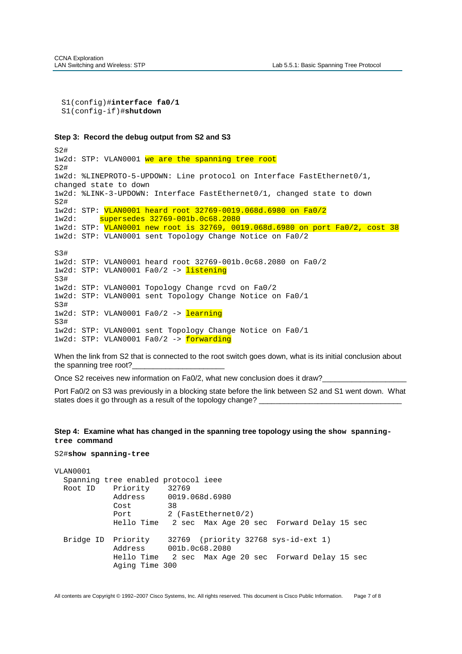```
S1(config)#interface fa0/1
S1(config-if)#shutdown
```
#### **Step 3: Record the debug output from S2 and S3**

S2# 1w2d: STP: VLAN0001 we are the spanning tree root S2# 1w2d: %LINEPROTO-5-UPDOWN: Line protocol on Interface FastEthernet0/1, changed state to down 1w2d: %LINK-3-UPDOWN: Interface FastEthernet0/1, changed state to down S2# 1w2d: STP: VLAN0001 heard root 32769-0019.068d.6980 on Fa0/2 1w2d: supersedes 32769-001b.0c68.2080 1w2d: STP: VLAN0001 new root is 32769, 0019.068d.6980 on port Fa0/2, cost 38 1w2d: STP: VLAN0001 sent Topology Change Notice on Fa0/2  $S3#$ 1w2d: STP: VLAN0001 heard root 32769-001b.0c68.2080 on Fa0/2 1w2d: STP: VLAN0001 Fa0/2 -> listening  $S3#$ 1w2d: STP: VLAN0001 Topology Change rcvd on Fa0/2 1w2d: STP: VLAN0001 sent Topology Change Notice on Fa0/1  $S3#$ 1w2d: STP: VLAN0001 Fa0/2 -> learning S3# 1w2d: STP: VLAN0001 sent Topology Change Notice on Fa0/1 1w2d: STP: VLAN0001 Fa0/2 -> forwarding

When the link from S2 that is connected to the root switch goes down, what is its initial conclusion about the spanning tree root?

Once S2 receives new information on Fa0/2, what new conclusion does it draw?

Port Fa0/2 on S3 was previously in a blocking state before the link between S2 and S1 went down. What states does it go through as a result of the topology change?

### **Step 4: Examine what has changed in the spanning tree topology using the show spanningtree command**

#### S2#**show spanning-tree**

```
VLAN0001 
  Spanning tree enabled protocol ieee 
  Root ID Priority 32769 
             Address 0019.068d.6980 
            Cost 38
            Port 2 (FastEthernet0/2)
             Hello Time 2 sec Max Age 20 sec Forward Delay 15 sec 
  Bridge ID Priority 32769 (priority 32768 sys-id-ext 1) 
             Address 001b.0c68.2080 
             Hello Time 2 sec Max Age 20 sec Forward Delay 15 sec 
             Aging Time 300
```